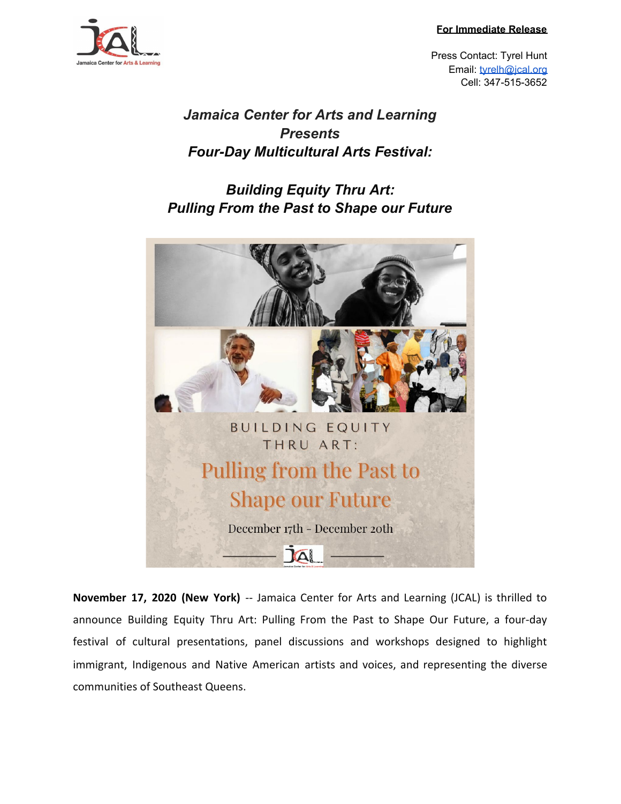**For Immediate Release**



Press Contact: Tyrel Hunt Email: [tyrelh@jcal.org](mailto:tyrelh@jcal.org) Cell: 347-515-3652

## *Jamaica Center for Arts and Learning Presents Four-Day Multicultural Arts Festival:*

## *Building Equity Thru Art: Pulling From the Past to Shape our Future*



**November 17, 2020 (New York)** -- Jamaica Center for Arts and Learning (JCAL) is thrilled to announce Building Equity Thru Art: Pulling From the Past to Shape Our Future, a four-day festival of cultural presentations, panel discussions and workshops designed to highlight immigrant, Indigenous and Native American artists and voices, and representing the diverse communities of Southeast Queens.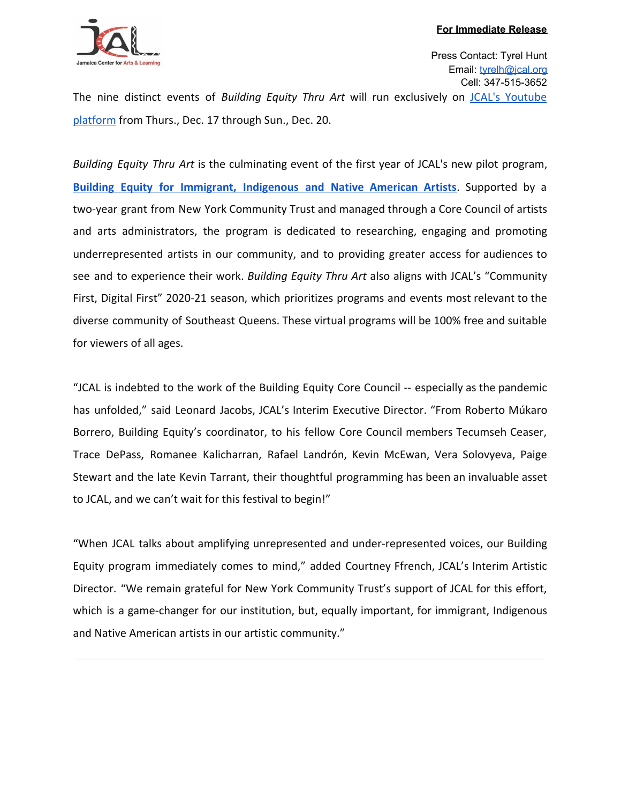

The nine distinct events of *Building Equity Thru Art* will run exclusively on JCAL's [Youtube](https://www.youtube.com/channel/UC_D_xuUkmrnHrDUFsg7FZCA) [platform](https://www.youtube.com/channel/UC_D_xuUkmrnHrDUFsg7FZCA) from Thurs., Dec. 17 through Sun., Dec. 20.

*Building Equity Thru Art* is the culminating event of the first year of JCAL's new pilot program, **Building Equity for [Immigrant,](https://www.jcal.org/buildingequity) Indigenous and Native American Artists**. Supported by a two-year grant from New York Community Trust and managed through a Core Council of artists and arts administrators, the program is dedicated to researching, engaging and promoting underrepresented artists in our community, and to providing greater access for audiences to see and to experience their work. *Building Equity Thru Art* also aligns with JCAL's "Community First, Digital First" 2020-21 season, which prioritizes programs and events most relevant to the diverse community of Southeast Queens. These virtual programs will be 100% free and suitable for viewers of all ages.

"JCAL is indebted to the work of the Building Equity Core Council -- especially as the pandemic has unfolded," said Leonard Jacobs, JCAL's Interim Executive Director. "From Roberto Múkaro Borrero, Building Equity's coordinator, to his fellow Core Council members Tecumseh Ceaser, Trace DePass, Romanee Kalicharran, Rafael Landrón, Kevin McEwan, Vera Solovyeva, Paige Stewart and the late Kevin Tarrant, their thoughtful programming has been an invaluable asset to JCAL, and we can't wait for this festival to begin!"

"When JCAL talks about amplifying unrepresented and under-represented voices, our Building Equity program immediately comes to mind," added Courtney Ffrench, JCAL's Interim Artistic Director. "We remain grateful for New York Community Trust's support of JCAL for this effort, which is a game-changer for our institution, but, equally important, for immigrant, Indigenous and Native American artists in our artistic community."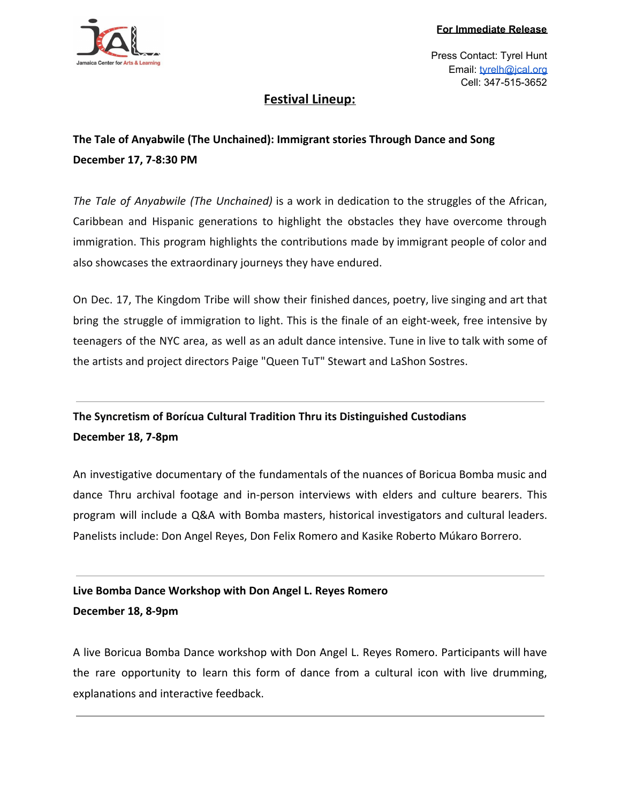

### **Festival Lineup:**

**The Tale of Anyabwile (The Unchained): Immigrant stories Through Dance and Song December 17, 7-8:30 PM**

*The Tale of Anyabwile (The Unchained)* is a work in dedication to the struggles of the African, Caribbean and Hispanic generations to highlight the obstacles they have overcome through immigration. This program highlights the contributions made by immigrant people of color and also showcases the extraordinary journeys they have endured.

On Dec. 17, The Kingdom Tribe will show their finished dances, poetry, live singing and art that bring the struggle of immigration to light. This is the finale of an eight-week, free intensive by teenagers of the NYC area, as well as an adult dance intensive. Tune in live to talk with some of the artists and project directors Paige "Queen TuT" Stewart and LaShon Sostres.

## **The Syncretism of Borícua Cultural Tradition Thru its Distinguished Custodians December 18, 7-8pm**

An investigative documentary of the fundamentals of the nuances of Boricua Bomba music and dance Thru archival footage and in-person interviews with elders and culture bearers. This program will include a Q&A with Bomba masters, historical investigators and cultural leaders. Panelists include: Don Angel Reyes, Don Felix Romero and Kasike Roberto Múkaro Borrero.

### **Live Bomba Dance Workshop with Don Angel L. Reyes Romero December 18, 8-9pm**

A live Boricua Bomba Dance workshop with Don Angel L. Reyes Romero. Participants will have the rare opportunity to learn this form of dance from a cultural icon with live drumming, explanations and interactive feedback.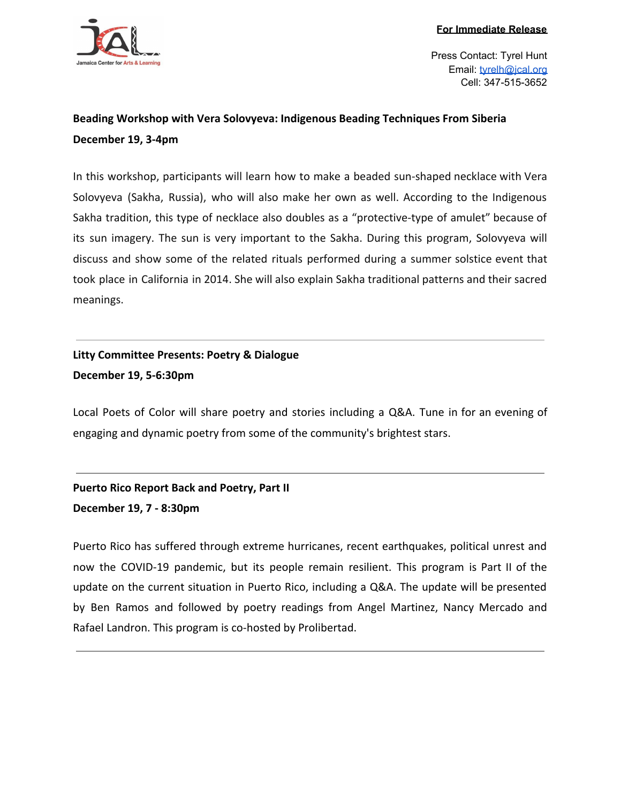

### **Beading Workshop with Vera Solovyeva: Indigenous Beading Techniques From Siberia December 19, 3-4pm**

In this workshop, participants will learn how to make a beaded sun-shaped necklace with Vera Solovyeva (Sakha, Russia), who will also make her own as well. According to the Indigenous Sakha tradition, this type of necklace also doubles as a "protective-type of amulet" because of its sun imagery. The sun is very important to the Sakha. During this program, Solovyeva will discuss and show some of the related rituals performed during a summer solstice event that took place in California in 2014. She will also explain Sakha traditional patterns and their sacred meanings.

**Litty Committee Presents: Poetry & Dialogue December 19, 5-6:30pm**

Local Poets of Color will share poetry and stories including a Q&A. Tune in for an evening of engaging and dynamic poetry from some of the community's brightest stars.

**Puerto Rico Report Back and Poetry, Part II December 19, 7 - 8:30pm**

Puerto Rico has suffered through extreme hurricanes, recent earthquakes, political unrest and now the COVID-19 pandemic, but its people remain resilient. This program is Part II of the update on the current situation in Puerto Rico, including a Q&A. The update will be presented by Ben Ramos and followed by poetry readings from Angel Martinez, Nancy Mercado and Rafael Landron. This program is co-hosted by Prolibertad.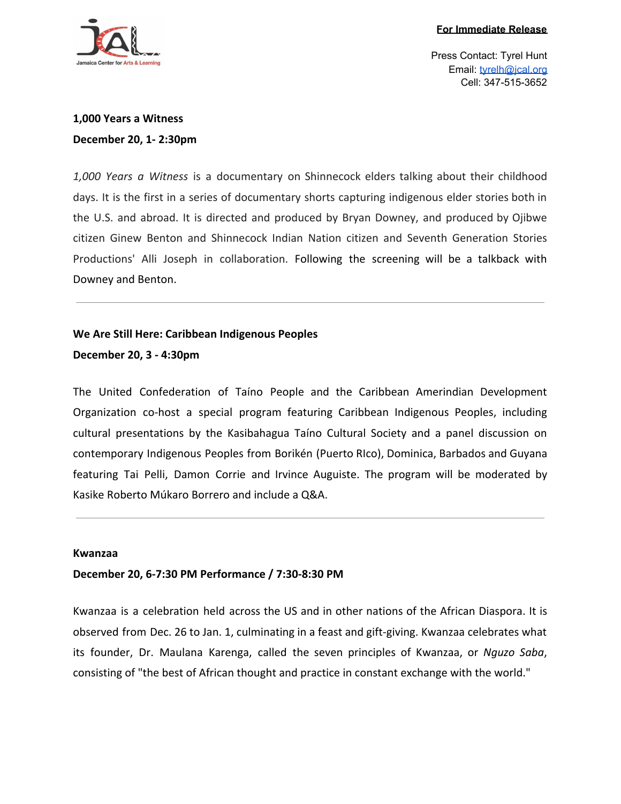

### **1,000 Years a Witness December 20, 1- 2:30pm**

*1,000 Years a Witness* is a documentary on Shinnecock elders talking about their childhood days. It is the first in a series of documentary shorts capturing indigenous elder stories both in the U.S. and abroad. It is directed and produced by Bryan Downey, and produced by Ojibwe citizen Ginew Benton and Shinnecock Indian Nation citizen and Seventh Generation Stories Productions' Alli Joseph in collaboration. Following the screening will be a talkback with Downey and Benton.

# **We Are Still Here: Caribbean Indigenous Peoples**

**December 20, 3 - 4:30pm**

The United Confederation of Taíno People and the Caribbean Amerindian Development Organization co-host a special program featuring Caribbean Indigenous Peoples, including cultural presentations by the Kasibahagua Taíno Cultural Society and a panel discussion on contemporary Indigenous Peoples from Borikén (Puerto RIco), Dominica, Barbados and Guyana featuring Tai Pelli, Damon Corrie and Irvince Auguiste. The program will be moderated by Kasike Roberto Múkaro Borrero and include a Q&A.

#### **Kwanzaa**

#### **December 20, 6-7:30 PM Performance / 7:30-8:30 PM**

Kwanzaa is a celebration held across the US and in other nations of the African Diaspora. It is observed from Dec. 26 to Jan. 1, culminating in a feast and gift-giving. Kwanzaa celebrates what its founder, Dr. Maulana Karenga, called the seven principles of Kwanzaa, or *Nguzo Saba*, consisting of "the best of African thought and practice in constant exchange with the world."